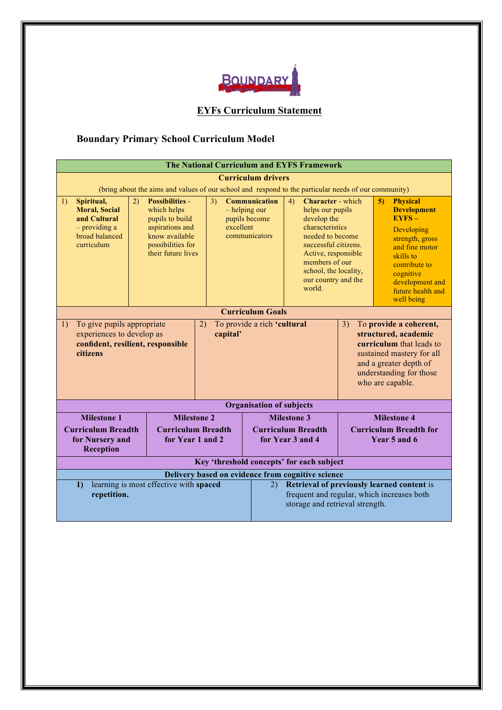

# **EYFs Curriculum Statement**

# **Boundary Primary School Curriculum Model**

| The National Curriculum and EYFS Framework                                                                     |                                                                                                                                                                                                                                                         |  |    |                                                                                        |                                                                                                                                                                                  |                                                                                                                                                                                                                              |                                               |                    |                                                                                                                                                                                                       |  |  |
|----------------------------------------------------------------------------------------------------------------|---------------------------------------------------------------------------------------------------------------------------------------------------------------------------------------------------------------------------------------------------------|--|----|----------------------------------------------------------------------------------------|----------------------------------------------------------------------------------------------------------------------------------------------------------------------------------|------------------------------------------------------------------------------------------------------------------------------------------------------------------------------------------------------------------------------|-----------------------------------------------|--------------------|-------------------------------------------------------------------------------------------------------------------------------------------------------------------------------------------------------|--|--|
| <b>Curriculum drivers</b>                                                                                      |                                                                                                                                                                                                                                                         |  |    |                                                                                        |                                                                                                                                                                                  |                                                                                                                                                                                                                              |                                               |                    |                                                                                                                                                                                                       |  |  |
| (bring about the aims and values of our school and respond to the particular needs of our community)           |                                                                                                                                                                                                                                                         |  |    |                                                                                        |                                                                                                                                                                                  |                                                                                                                                                                                                                              |                                               |                    |                                                                                                                                                                                                       |  |  |
| 1)                                                                                                             | 2)<br><b>Possibilities -</b><br>Spiritual,<br><b>Moral, Social</b><br>which helps<br>and Cultural<br>pupils to build<br>$-$ providing a<br>aspirations and<br>broad balanced<br>know available<br>curriculum<br>possibilities for<br>their future lives |  | 3) | <b>Communication</b><br>$-$ helping our<br>pupils become<br>excellent<br>communicators |                                                                                                                                                                                  | 4)<br>Character - which<br>helps our pupils<br>develop the<br>characteristics<br>needed to become<br>successful citizens.<br>Active, responsible<br>members of our<br>school, the locality,<br>our country and the<br>world. |                                               | 5 <sub>0</sub>     | <b>Physical</b><br><b>Development</b><br>$EYFS -$<br>Developing<br>strength, gross<br>and fine motor<br>skills to<br>contribute to<br>cognitive<br>development and<br>future health and<br>well being |  |  |
|                                                                                                                | <b>Curriculum Goals</b>                                                                                                                                                                                                                                 |  |    |                                                                                        |                                                                                                                                                                                  |                                                                                                                                                                                                                              |                                               |                    |                                                                                                                                                                                                       |  |  |
| To give pupils appropriate<br>1)<br>experiences to develop as<br>confident, resilient, responsible<br>citizens |                                                                                                                                                                                                                                                         |  |    | To provide a rich 'cultural<br>2)<br>capital'                                          |                                                                                                                                                                                  | To provide a coherent,<br>3)<br>structured, academic<br>curriculum that leads to<br>sustained mastery for all<br>and a greater depth of<br>understanding for those<br>who are capable.                                       |                                               |                    |                                                                                                                                                                                                       |  |  |
|                                                                                                                |                                                                                                                                                                                                                                                         |  |    |                                                                                        |                                                                                                                                                                                  | <b>Organisation of subjects</b>                                                                                                                                                                                              |                                               |                    |                                                                                                                                                                                                       |  |  |
|                                                                                                                | <b>Milestone 1</b><br><b>Milestone 2</b>                                                                                                                                                                                                                |  |    |                                                                                        |                                                                                                                                                                                  | <b>Milestone 3</b>                                                                                                                                                                                                           |                                               | <b>Milestone 4</b> |                                                                                                                                                                                                       |  |  |
|                                                                                                                | <b>Curriculum Breadth</b><br><b>Curriculum Breadth</b><br>for Nursery and<br><b>Reception</b>                                                                                                                                                           |  |    | for Year 1 and 2                                                                       | <b>Curriculum Breadth</b><br>for Year 3 and 4                                                                                                                                    |                                                                                                                                                                                                                              | <b>Curriculum Breadth for</b><br>Year 5 and 6 |                    |                                                                                                                                                                                                       |  |  |
|                                                                                                                | Key 'threshold concepts' for each subject                                                                                                                                                                                                               |  |    |                                                                                        |                                                                                                                                                                                  |                                                                                                                                                                                                                              |                                               |                    |                                                                                                                                                                                                       |  |  |
| learning is most effective with spaced<br>1)<br>repetition.                                                    |                                                                                                                                                                                                                                                         |  |    | (2)                                                                                    | Delivery based on evidence from cognitive science<br>Retrieval of previously learned content is<br>frequent and regular, which increases both<br>storage and retrieval strength. |                                                                                                                                                                                                                              |                                               |                    |                                                                                                                                                                                                       |  |  |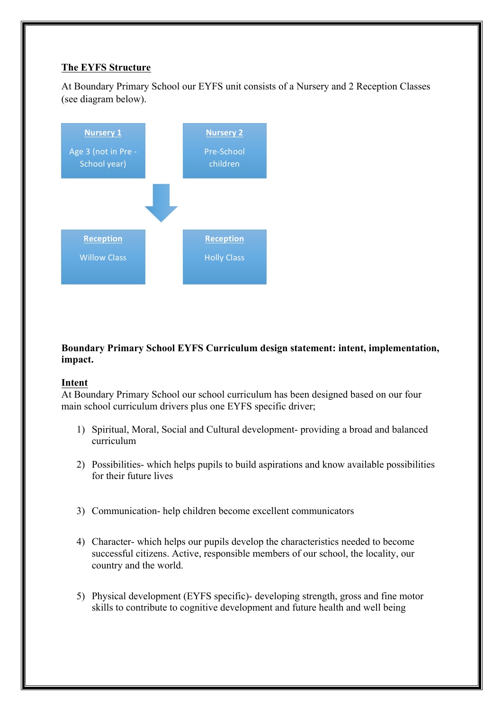# **The EYFS Structure**

At Boundary Primary School our EYFS unit consists of a Nursery and 2 Reception Classes (see diagram below).



# **Boundary Primary School EYFS Curriculum design statement: intent, implementation, impact.**

# **Intent**

At Boundary Primary School our school curriculum has been designed based on our four main school curriculum drivers plus one EYFS specific driver;

- 1) Spiritual, Moral, Social and Cultural development- providing a broad and balanced curriculum
- 2) Possibilities- which helps pupils to build aspirations and know available possibilities for their future lives
- 3) Communication- help children become excellent communicators
- 4) Character- which helps our pupils develop the characteristics needed to become successful citizens. Active, responsible members of our school, the locality, our country and the world.
- 5) Physical development (EYFS specific)- developing strength, gross and fine motor skills to contribute to cognitive development and future health and well being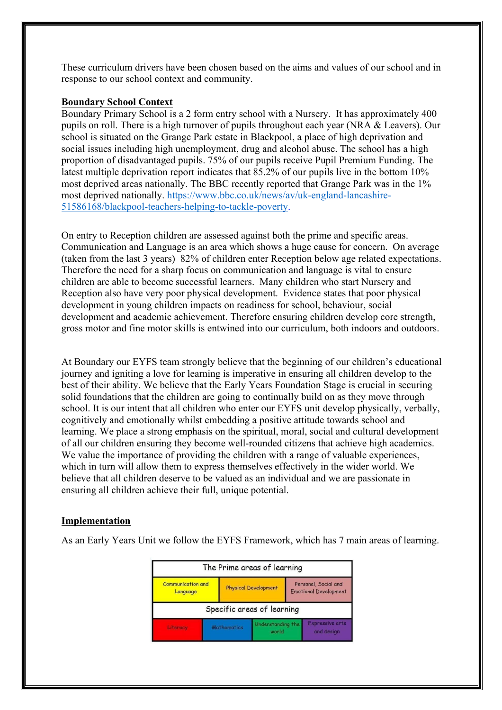These curriculum drivers have been chosen based on the aims and values of our school and in response to our school context and community.

#### **Boundary School Context**

Boundary Primary School is a 2 form entry school with a Nursery. It has approximately 400 pupils on roll. There is a high turnover of pupils throughout each year (NRA & Leavers). Our school is situated on the Grange Park estate in Blackpool, a place of high deprivation and social issues including high unemployment, drug and alcohol abuse. The school has a high proportion of disadvantaged pupils. 75% of our pupils receive Pupil Premium Funding. The latest multiple deprivation report indicates that 85.2% of our pupils live in the bottom 10% most deprived areas nationally. The BBC recently reported that Grange Park was in the 1% most deprived nationally. https://www.bbc.co.uk/news/av/uk-england-lancashire-51586168/blackpool-teachers-helping-to-tackle-poverty.

On entry to Reception children are assessed against both the prime and specific areas. Communication and Language is an area which shows a huge cause for concern. On average (taken from the last 3 years) 82% of children enter Reception below age related expectations. Therefore the need for a sharp focus on communication and language is vital to ensure children are able to become successful learners. Many children who start Nursery and Reception also have very poor physical development. Evidence states that poor physical development in young children impacts on readiness for school, behaviour, social development and academic achievement. Therefore ensuring children develop core strength, gross motor and fine motor skills is entwined into our curriculum, both indoors and outdoors.

At Boundary our EYFS team strongly believe that the beginning of our children's educational journey and igniting a love for learning is imperative in ensuring all children develop to the best of their ability. We believe that the Early Years Foundation Stage is crucial in securing solid foundations that the children are going to continually build on as they move through school. It is our intent that all children who enter our EYFS unit develop physically, verbally, cognitively and emotionally whilst embedding a positive attitude towards school and learning. We place a strong emphasis on the spiritual, moral, social and cultural development of all our children ensuring they become well-rounded citizens that achieve high academics. We value the importance of providing the children with a range of valuable experiences, which in turn will allow them to express themselves effectively in the wider world. We believe that all children deserve to be valued as an individual and we are passionate in ensuring all children achieve their full, unique potential.

### **Implementation**

As an Early Years Unit we follow the EYFS Framework, which has 7 main areas of learning.

| The Prime areas of learning          |                    |                             |                                                      |                                      |  |  |  |
|--------------------------------------|--------------------|-----------------------------|------------------------------------------------------|--------------------------------------|--|--|--|
| <b>Communication and</b><br>Language |                    | <b>Physical Development</b> | Personal, Social and<br><b>Emotional Development</b> |                                      |  |  |  |
| Specific areas of learning           |                    |                             |                                                      |                                      |  |  |  |
|                                      | <b>Mathematics</b> | Understanding the<br>world  |                                                      | <b>Expressive arts</b><br>and design |  |  |  |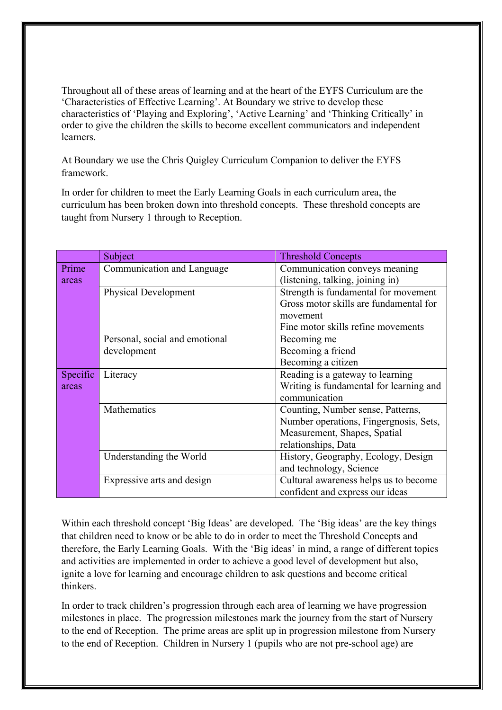Throughout all of these areas of learning and at the heart of the EYFS Curriculum are the 'Characteristics of Effective Learning'. At Boundary we strive to develop these characteristics of 'Playing and Exploring', 'Active Learning' and 'Thinking Critically' in order to give the children the skills to become excellent communicators and independent learners.

At Boundary we use the Chris Quigley Curriculum Companion to deliver the EYFS framework.

In order for children to meet the Early Learning Goals in each curriculum area, the curriculum has been broken down into threshold concepts. These threshold concepts are taught from Nursery 1 through to Reception.

|          | Subject                        | <b>Threshold Concepts</b>               |
|----------|--------------------------------|-----------------------------------------|
| Prime    | Communication and Language     | Communication conveys meaning           |
| areas    |                                | (listening, talking, joining in)        |
|          | <b>Physical Development</b>    | Strength is fundamental for movement    |
|          |                                | Gross motor skills are fundamental for  |
|          |                                | movement                                |
|          |                                | Fine motor skills refine movements      |
|          | Personal, social and emotional | Becoming me                             |
|          | development                    | Becoming a friend                       |
|          |                                | Becoming a citizen                      |
| Specific | Literacy                       | Reading is a gateway to learning        |
| areas    |                                | Writing is fundamental for learning and |
|          |                                | communication                           |
|          | Mathematics                    | Counting, Number sense, Patterns,       |
|          |                                | Number operations, Fingergnosis, Sets,  |
|          |                                | Measurement, Shapes, Spatial            |
|          |                                | relationships, Data                     |
|          | Understanding the World        | History, Geography, Ecology, Design     |
|          |                                | and technology, Science                 |
|          | Expressive arts and design     | Cultural awareness helps us to become   |
|          |                                | confident and express our ideas         |

Within each threshold concept 'Big Ideas' are developed. The 'Big ideas' are the key things that children need to know or be able to do in order to meet the Threshold Concepts and therefore, the Early Learning Goals. With the 'Big ideas' in mind, a range of different topics and activities are implemented in order to achieve a good level of development but also, ignite a love for learning and encourage children to ask questions and become critical thinkers.

In order to track children's progression through each area of learning we have progression milestones in place. The progression milestones mark the journey from the start of Nursery to the end of Reception. The prime areas are split up in progression milestone from Nursery to the end of Reception. Children in Nursery 1 (pupils who are not pre-school age) are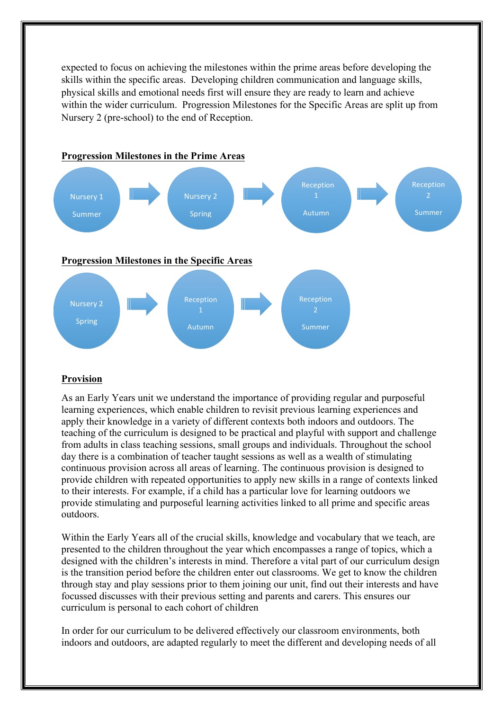expected to focus on achieving the milestones within the prime areas before developing the skills within the specific areas. Developing children communication and language skills, physical skills and emotional needs first will ensure they are ready to learn and achieve within the wider curriculum. Progression Milestones for the Specific Areas are split up from Nursery 2 (pre-school) to the end of Reception.



### **Provision**

As an Early Years unit we understand the importance of providing regular and purposeful learning experiences, which enable children to revisit previous learning experiences and apply their knowledge in a variety of different contexts both indoors and outdoors. The teaching of the curriculum is designed to be practical and playful with support and challenge from adults in class teaching sessions, small groups and individuals. Throughout the school day there is a combination of teacher taught sessions as well as a wealth of stimulating continuous provision across all areas of learning. The continuous provision is designed to provide children with repeated opportunities to apply new skills in a range of contexts linked to their interests. For example, if a child has a particular love for learning outdoors we provide stimulating and purposeful learning activities linked to all prime and specific areas outdoors.

Within the Early Years all of the crucial skills, knowledge and vocabulary that we teach, are presented to the children throughout the year which encompasses a range of topics, which a designed with the children's interests in mind. Therefore a vital part of our curriculum design is the transition period before the children enter out classrooms. We get to know the children through stay and play sessions prior to them joining our unit, find out their interests and have focussed discusses with their previous setting and parents and carers. This ensures our curriculum is personal to each cohort of children

In order for our curriculum to be delivered effectively our classroom environments, both indoors and outdoors, are adapted regularly to meet the different and developing needs of all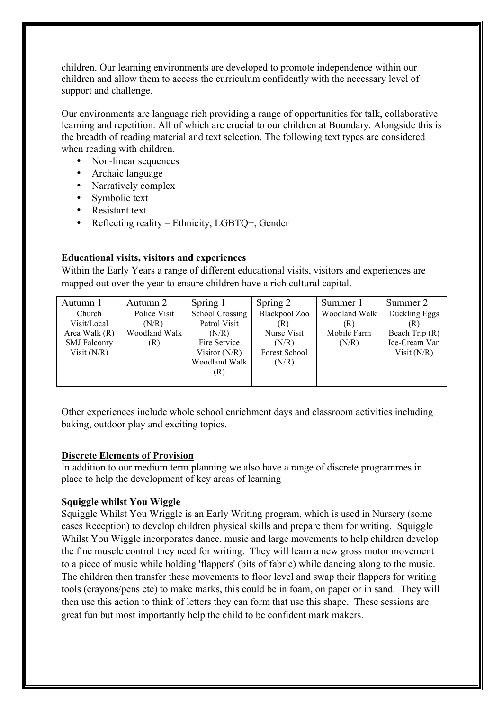children. Our learning environments are developed to promote independence within our children and allow them to access the curriculum confidently with the necessary level of support and challenge.

Our environments are language rich providing a range of opportunities for talk, collaborative learning and repetition. All of which are crucial to our children at Boundary. Alongside this is the breadth of reading material and text selection. The following text types are considered when reading with children.

- Non-linear sequences
- Archaic language
- Narratively complex
- Symbolic text
- Resistant text
- Reflecting reality Ethnicity, LGBTQ+, Gender

# **Educational visits, visitors and experiences**

Within the Early Years a range of different educational visits, visitors and experiences are mapped out over the year to ensure children have a rich cultural capital.

| Autumn 1            | Autumn 2      | Spring 1        | Spring 2      | Summer 1      | Summer 2       |
|---------------------|---------------|-----------------|---------------|---------------|----------------|
| Church              | Police Visit  | School Crossing | Blackpool Zoo | Woodland Walk | Duckling Eggs  |
| Visit/Local         | (N/R)         | Patrol Visit    | (R)           | (R)           | (R)            |
| Area Walk $(R)$     | Woodland Walk | (N/R)           | Nurse Visit   | Mobile Farm   | Beach Trip (R) |
| <b>SMJ</b> Falconry | (R)           | Fire Service    | (N/R)         | (N/R)         | Ice-Cream Van  |
| Visit $(N/R)$       |               | Visitor $(N/R)$ | Forest School |               | Visit $(N/R)$  |
|                     |               | Woodland Walk   | (N/R)         |               |                |
|                     |               | (R)             |               |               |                |
|                     |               |                 |               |               |                |

Other experiences include whole school enrichment days and classroom activities including baking, outdoor play and exciting topics.

### **Discrete Elements of Provision**

In addition to our medium term planning we also have a range of discrete programmes in place to help the development of key areas of learning

# **Squiggle whilst You Wiggle**

Squiggle Whilst You Wriggle is an Early Writing program, which is used in Nursery (some cases Reception) to develop children physical skills and prepare them for writing. Squiggle Whilst You Wiggle incorporates dance, music and large movements to help children develop the fine muscle control they need for writing. They will learn a new gross motor movement to a piece of music while holding 'flappers' (bits of fabric) while dancing along to the music. The children then transfer these movements to floor level and swap their flappers for writing tools (crayons/pens etc) to make marks, this could be in foam, on paper or in sand. They will then use this action to think of letters they can form that use this shape. These sessions are great fun but most importantly help the child to be confident mark makers.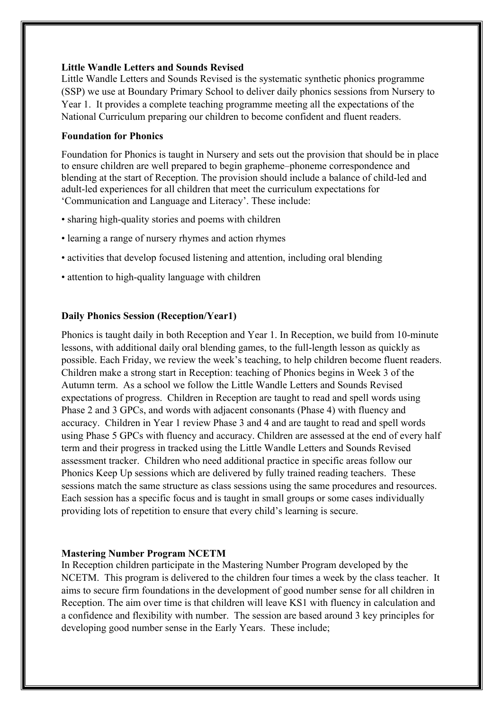### **Little Wandle Letters and Sounds Revised**

Little Wandle Letters and Sounds Revised is the systematic synthetic phonics programme (SSP) we use at Boundary Primary School to deliver daily phonics sessions from Nursery to Year 1. It provides a complete teaching programme meeting all the expectations of the National Curriculum preparing our children to become confident and fluent readers.

## **Foundation for Phonics**

Foundation for Phonics is taught in Nursery and sets out the provision that should be in place to ensure children are well prepared to begin grapheme–phoneme correspondence and blending at the start of Reception. The provision should include a balance of child-led and adult-led experiences for all children that meet the curriculum expectations for 'Communication and Language and Literacy'. These include:

- sharing high-quality stories and poems with children
- learning a range of nursery rhymes and action rhymes
- activities that develop focused listening and attention, including oral blending
- attention to high-quality language with children

## **Daily Phonics Session (Reception/Year1)**

Phonics is taught daily in both Reception and Year 1. In Reception, we build from 10-minute lessons, with additional daily oral blending games, to the full-length lesson as quickly as possible. Each Friday, we review the week's teaching, to help children become fluent readers. Children make a strong start in Reception: teaching of Phonics begins in Week 3 of the Autumn term. As a school we follow the Little Wandle Letters and Sounds Revised expectations of progress. Children in Reception are taught to read and spell words using Phase 2 and 3 GPCs, and words with adjacent consonants (Phase 4) with fluency and accuracy. Children in Year 1 review Phase 3 and 4 and are taught to read and spell words using Phase 5 GPCs with fluency and accuracy. Children are assessed at the end of every half term and their progress in tracked using the Little Wandle Letters and Sounds Revised assessment tracker. Children who need additional practice in specific areas follow our Phonics Keep Up sessions which are delivered by fully trained reading teachers. These sessions match the same structure as class sessions using the same procedures and resources. Each session has a specific focus and is taught in small groups or some cases individually providing lots of repetition to ensure that every child's learning is secure.

### **Mastering Number Program NCETM**

In Reception children participate in the Mastering Number Program developed by the NCETM. This program is delivered to the children four times a week by the class teacher. It aims to secure firm foundations in the development of good number sense for all children in Reception. The aim over time is that children will leave KS1 with fluency in calculation and a confidence and flexibility with number. The session are based around 3 key principles for developing good number sense in the Early Years. These include;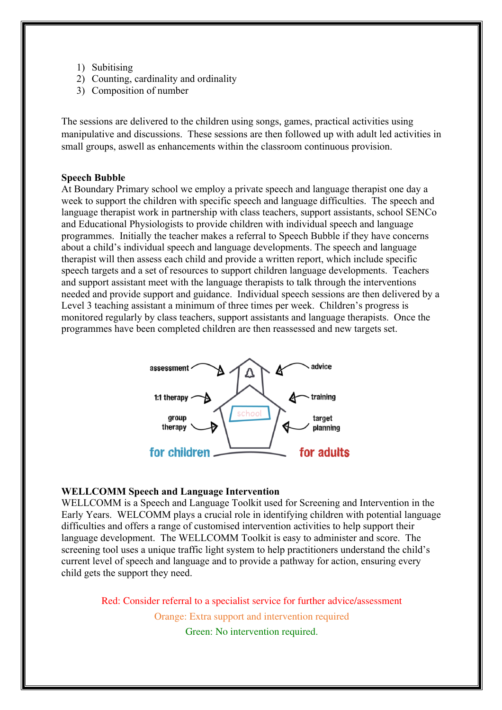- 1) Subitising
- 2) Counting, cardinality and ordinality
- 3) Composition of number

The sessions are delivered to the children using songs, games, practical activities using manipulative and discussions. These sessions are then followed up with adult led activities in small groups, aswell as enhancements within the classroom continuous provision.

#### **Speech Bubble**

At Boundary Primary school we employ a private speech and language therapist one day a week to support the children with specific speech and language difficulties. The speech and language therapist work in partnership with class teachers, support assistants, school SENCo and Educational Physiologists to provide children with individual speech and language programmes. Initially the teacher makes a referral to Speech Bubble if they have concerns about a child's individual speech and language developments. The speech and language therapist will then assess each child and provide a written report, which include specific speech targets and a set of resources to support children language developments. Teachers and support assistant meet with the language therapists to talk through the interventions needed and provide support and guidance. Individual speech sessions are then delivered by a Level 3 teaching assistant a minimum of three times per week. Children's progress is monitored regularly by class teachers, support assistants and language therapists. Once the programmes have been completed children are then reassessed and new targets set.



#### **WELLCOMM Speech and Language Intervention**

WELLCOMM is a Speech and Language Toolkit used for Screening and Intervention in the Early Years. WELCOMM plays a crucial role in identifying children with potential language difficulties and offers a range of customised intervention activities to help support their language development. The WELLCOMM Toolkit is easy to administer and score. The screening tool uses a unique traffic light system to help practitioners understand the child's current level of speech and language and to provide a pathway for action, ensuring every child gets the support they need.

> Red: Consider referral to a specialist service for further advice/assessment Orange: Extra support and intervention required

Green: No intervention required.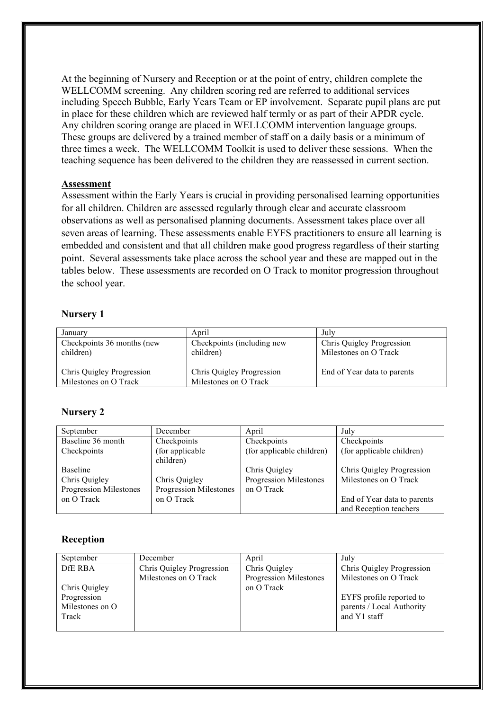At the beginning of Nursery and Reception or at the point of entry, children complete the WELLCOMM screening. Any children scoring red are referred to additional services including Speech Bubble, Early Years Team or EP involvement. Separate pupil plans are put in place for these children which are reviewed half termly or as part of their APDR cycle. Any children scoring orange are placed in WELLCOMM intervention language groups. These groups are delivered by a trained member of staff on a daily basis or a minimum of three times a week. The WELLCOMM Toolkit is used to deliver these sessions. When the teaching sequence has been delivered to the children they are reassessed in current section.

### **Assessment**

Assessment within the Early Years is crucial in providing personalised learning opportunities for all children. Children are assessed regularly through clear and accurate classroom observations as well as personalised planning documents. Assessment takes place over all seven areas of learning. These assessments enable EYFS practitioners to ensure all learning is embedded and consistent and that all children make good progress regardless of their starting point. Several assessments take place across the school year and these are mapped out in the tables below. These assessments are recorded on O Track to monitor progression throughout the school year.

### **Nursery 1**

| January                                            | April                                              | July                                               |
|----------------------------------------------------|----------------------------------------------------|----------------------------------------------------|
| Checkpoints 36 months (new<br>children)            | Checkpoints (including new<br>children)            | Chris Quigley Progression<br>Milestones on O Track |
| Chris Quigley Progression<br>Milestones on O Track | Chris Quigley Progression<br>Milestones on O Track | End of Year data to parents                        |

# **Nursery 2**

| September              | December               | April                     | July                        |
|------------------------|------------------------|---------------------------|-----------------------------|
| Baseline 36 month      | Checkpoints            | Checkpoints               | Checkpoints                 |
| Checkpoints            | (for applicable)       | (for applicable children) | (for applicable children)   |
|                        | children)              |                           |                             |
| <b>Baseline</b>        |                        | Chris Quigley             | Chris Quigley Progression   |
| Chris Quigley          | Chris Quigley          | Progression Milestones    | Milestones on O Track       |
| Progression Milestones | Progression Milestones | on O Track                |                             |
| on O Track             | on O Track             |                           | End of Year data to parents |
|                        |                        |                           | and Reception teachers      |

# **Reception**

| September       | December                  | April                  | July                      |
|-----------------|---------------------------|------------------------|---------------------------|
| DfE RBA         | Chris Quigley Progression | Chris Quigley          | Chris Quigley Progression |
|                 | Milestones on O Track     | Progression Milestones | Milestones on O Track     |
| Chris Quigley   |                           | on O Track             |                           |
| Progression     |                           |                        | EYFS profile reported to  |
| Milestones on O |                           |                        | parents / Local Authority |
| Track           |                           |                        | and Y1 staff              |
|                 |                           |                        |                           |